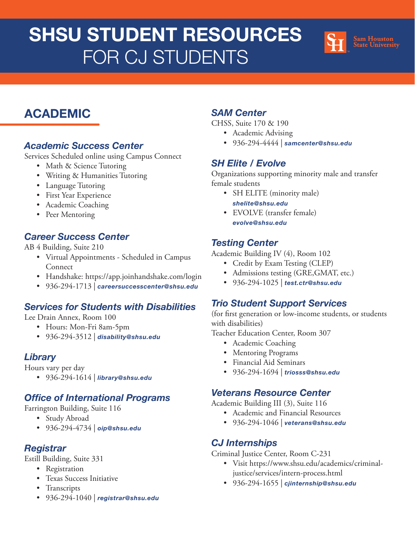# SHSU STUDENT RESOURCES FOR CJ STUDENTS



# ACADEMIC

#### [Academic Success Center](hhttps://www.shsu.edu/centers/academic-success-center/)

Services Scheduled online using Campus Connect

- Math & Science Tutoring
- Writing & Humanities Tutoring
- Language Tutoring
- First Year Experience
- Academic Coaching
- Peer Mentoring

# [Career Success Center](https://www.shsu.edu/dept/career-success-center/)

AB 4 Building, Suite 210

- Virtual Appointments Scheduled in Campus Connect
- Handshake: https://app.joinhandshake.com/login
- 936-294-1713 | [careersuccesscenter@shsu.edu](mailto:careersuccesscenter%40shsu.edu?subject=)

## [Services for Students with Disabilities](https://www.shsu.edu/dept/disability/)

Lee Drain Annex, Room 100

- Hours: Mon-Fri 8am-5pm
- 936-294-3512 | [disability@shsu.edu](mailto:disability%40shsu.edu?subject=)

## **[Library](https://library.shsu.edu/)**

Hours vary per day

• 936-294-1614 | [library@shsu.edu](mailto:library%40shsu.edu?subject=)

## [Office of International Programs](https://www.shsu.edu/dept/international-programs/)

Farrington Building, Suite 116

- Study Abroad
- 936-294-4734 | [oip@shsu.edu](mailto:oip%40shsu.edu?subject=)

#### **[Registrar](https://www.shsu.edu/dept/registrar/)**

Estill Building, Suite 331

- Registration
- Texas Success Initiative
- Transcripts
- 936-294-1040 | [registrar@shsu.edu](mailto:registrar%40shsu.edu?subject=)

#### [SAM Center](https://www.shsu.edu/centers/sam-center/)

CHSS, Suite 170 & 190

- Academic Advising
- 936-294-4444 | [samcenter@shsu.edu](mailto:samcenter%40shsu.edu?subject=)

## [SH Elite / Evolve](https://www.shsu.edu/dept/elite/)

Organizations supporting minority male and transfer female students

- SH ELITE (minority male) [shelite@shsu.edu](mailto:shelite%40shsu.edu?subject=)
- EVOLVE (transfer female) [evolve@shsu.edu](mailto:evolve%40shsu.edu?subject=)

## [Testing Center](https://www.shsu.edu/centers/testing-center/)

Academic Building IV (4), Room 102

- Credit by Exam Testing (CLEP)
- Admissions testing (GRE, GMAT, etc.)
- 936-294-1025 | [test.ctr@shsu.edu](mailto:test.ctr%40shsu.edu?subject=)

## [Trio Student Support Services](https://www.shsu.edu/dept/trio/)

(for first generation or low-income students, or students with disabilities)

Teacher Education Center, Room 307

- Academic Coaching
- Mentoring Programs
- Financial Aid Seminars
- 936-294-1694 | [triosss@shsu.edu](mailto:triosss%40shsu.edu?subject=)

#### [Veterans Resource Center](https://www.shsu.edu/dept/veterans-resource-center/)

Academic Building III (3), Suite 116

- Academic and Financial Resources
- 936-294-1046 | [veterans@shsu.edu](mailto:veterans%40shsu.edu?subject=)

## [CJ Internships](https://www.shsu.edu/academics/criminal-justice/services/intern.html)

Criminal Justice Center, Room C-231

- Visit https://www.shsu.edu/academics/criminaljustice/services/intern-process.html
- 936-294-1655 | [cjinternship@shsu.edu](mailto:cjinternship%40shsu.edu?subject=)